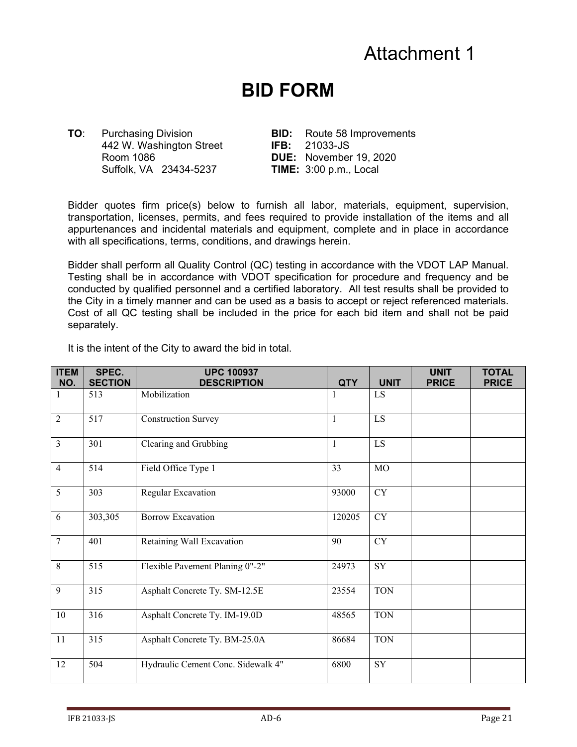## Attachment 1

## **BID FORM**

442 W. Washington Street **IFB:** 21033-JS Room 1086 **DUE:** November 19, 2020 Suffolk, VA 23434-5237 **TIME:** 3:00 p.m., Local

**TO**: Purchasing Division **BID:** Route 58 Improvements

Bidder quotes firm price(s) below to furnish all labor, materials, equipment, supervision, transportation, licenses, permits, and fees required to provide installation of the items and all appurtenances and incidental materials and equipment, complete and in place in accordance with all specifications, terms, conditions, and drawings herein.

Bidder shall perform all Quality Control (QC) testing in accordance with the VDOT LAP Manual. Testing shall be in accordance with VDOT specification for procedure and frequency and be conducted by qualified personnel and a certified laboratory. All test results shall be provided to the City in a timely manner and can be used as a basis to accept or reject referenced materials. Cost of all QC testing shall be included in the price for each bid item and shall not be paid separately.

It is the intent of the City to award the bid in total.

| <b>ITEM</b><br>NO. | SPEC.<br><b>SECTION</b> | <b>UPC 100937</b><br><b>DESCRIPTION</b> | <b>QTY</b>   | <b>UNIT</b> | <b>UNIT</b><br><b>PRICE</b> | <b>TOTAL</b><br><b>PRICE</b> |
|--------------------|-------------------------|-----------------------------------------|--------------|-------------|-----------------------------|------------------------------|
|                    | 513                     | Mobilization                            |              | LS          |                             |                              |
| $\overline{2}$     | 517                     | <b>Construction Survey</b>              | $\mathbf{1}$ | LS          |                             |                              |
| $\overline{3}$     | 301                     | Clearing and Grubbing                   | $\mathbf{1}$ | LS          |                             |                              |
| $\overline{4}$     | 514                     | Field Office Type 1                     | 33           | MO          |                             |                              |
| 5                  | 303                     | Regular Excavation                      | 93000        | <b>CY</b>   |                             |                              |
| 6                  | 303,305                 | <b>Borrow Excavation</b>                | 120205       | CY          |                             |                              |
| $\overline{7}$     | 401                     | Retaining Wall Excavation               | 90           | ${\rm CY}$  |                             |                              |
| 8                  | 515                     | Flexible Pavement Planing 0"-2"         | 24973        | ${\rm SY}$  |                             |                              |
| 9                  | 315                     | Asphalt Concrete Ty. SM-12.5E           | 23554        | <b>TON</b>  |                             |                              |
| 10                 | 316                     | Asphalt Concrete Ty. IM-19.0D           | 48565        | <b>TON</b>  |                             |                              |
| 11                 | 315                     | Asphalt Concrete Ty. BM-25.0A           | 86684        | <b>TON</b>  |                             |                              |
| 12                 | 504                     | Hydraulic Cement Conc. Sidewalk 4"      | 6800         | SY          |                             |                              |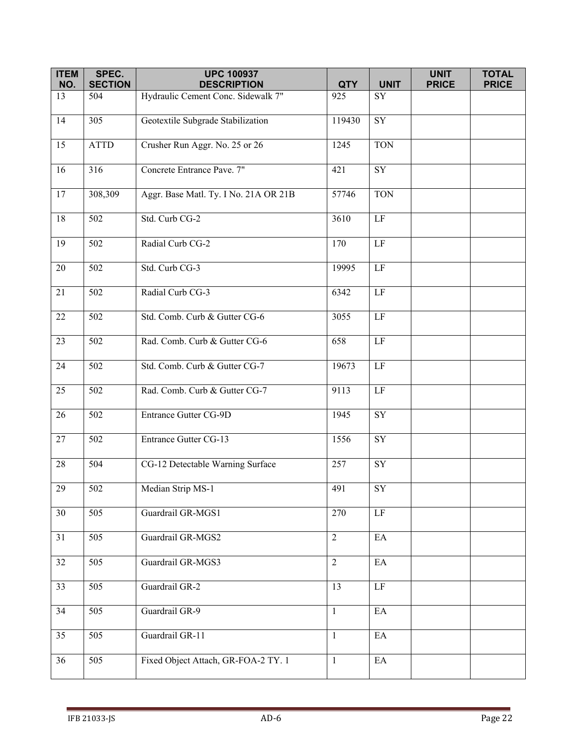| <b>ITEM</b> | SPEC.            | <b>UPC 100937</b>                     |                |                            | <b>UNIT</b>  | <b>TOTAL</b> |
|-------------|------------------|---------------------------------------|----------------|----------------------------|--------------|--------------|
| NO.         | <b>SECTION</b>   | <b>DESCRIPTION</b>                    | <b>QTY</b>     | <b>UNIT</b>                | <b>PRICE</b> | <b>PRICE</b> |
| 13          | 504              | Hydraulic Cement Conc. Sidewalk 7"    | 925            | SY                         |              |              |
| 14          | 305              | Geotextile Subgrade Stabilization     | 119430         | $\overline{\text{SY}}$     |              |              |
| 15          | <b>ATTD</b>      | Crusher Run Aggr. No. 25 or 26        | 1245           | <b>TON</b>                 |              |              |
| 16          | 316              | Concrete Entrance Pave. 7"            | 421            | SY                         |              |              |
| 17          | 308,309          | Aggr. Base Matl. Ty. I No. 21A OR 21B | 57746          | <b>TON</b>                 |              |              |
| $18\,$      | 502              | Std. Curb CG-2                        | 3610           | $\rm LF$                   |              |              |
| 19          | 502              | Radial Curb CG-2                      | 170            | $\rm LF$                   |              |              |
| 20          | 502              | Std. Curb CG-3                        | 19995          | LF                         |              |              |
| 21          | 502              | Radial Curb CG-3                      | 6342           | $\rm LF$                   |              |              |
| $22\,$      | 502              | Std. Comb. Curb & Gutter CG-6         | 3055           | $\rm LF$                   |              |              |
| 23          | $\overline{502}$ | Rad. Comb. Curb & Gutter CG-6         | 658            | $\rm LF$                   |              |              |
| 24          | 502              | Std. Comb. Curb & Gutter CG-7         | 19673          | $\rm LF$                   |              |              |
| 25          | 502              | Rad. Comb. Curb & Gutter CG-7         | 9113           | $\rm LF$                   |              |              |
| 26          | 502              | Entrance Gutter CG-9D                 | 1945           | $\overline{\text{SY}}$     |              |              |
| 27          | 502              | <b>Entrance Gutter CG-13</b>          | 1556           | SY                         |              |              |
| $28\,$      | 504              | CG-12 Detectable Warning Surface      | 257            | SY                         |              |              |
| $29\,$      | 502              | Median Strip MS-1                     | 491            | ${\rm SY}$                 |              |              |
| 30          | 505              | Guardrail GR-MGS1                     | 270            | $\rm LF$                   |              |              |
| 31          | 505              | Guardrail GR-MGS2                     | $\overline{2}$ | EA                         |              |              |
| 32          | 505              | Guardrail GR-MGS3                     | 2              | $\rm EA$                   |              |              |
| 33          | 505              | Guardrail GR-2                        | 13             | LF                         |              |              |
| 34          | 505              | Guardrail GR-9                        | $\mathbf{1}$   | EA                         |              |              |
| 35          | 505              | Guardrail GR-11                       | $\mathbf{1}$   | $\mathop{\rm EA}\nolimits$ |              |              |
| 36          | 505              | Fixed Object Attach, GR-FOA-2 TY. 1   | $\mathbf{1}$   | $\mathop{\text{EA}}$       |              |              |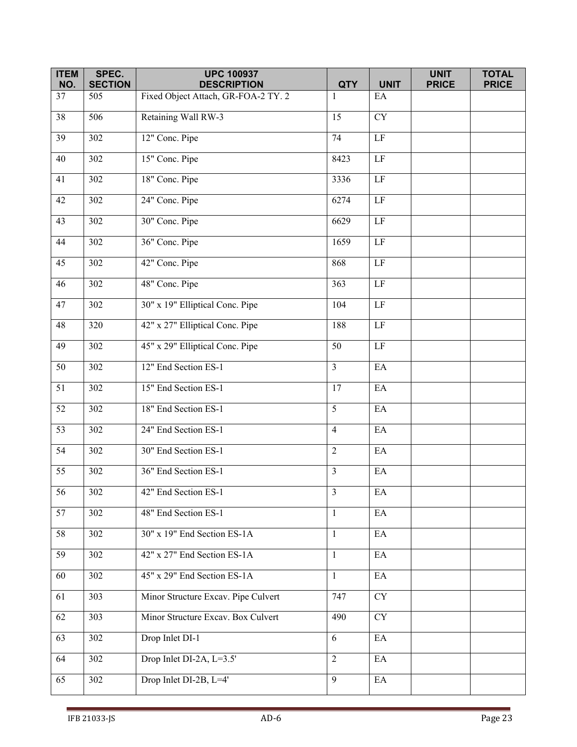| <b>ITEM</b><br>NO. | SPEC.<br><b>SECTION</b> | <b>UPC 100937</b><br><b>DESCRIPTION</b> | <b>QTY</b>     | <b>UNIT</b>                | <b>UNIT</b><br><b>PRICE</b> | <b>TOTAL</b><br><b>PRICE</b> |
|--------------------|-------------------------|-----------------------------------------|----------------|----------------------------|-----------------------------|------------------------------|
| 37                 | 505                     | Fixed Object Attach, GR-FOA-2 TY. 2     | 1              | EA                         |                             |                              |
| 38                 | 506                     | Retaining Wall RW-3                     | 15             | <b>CY</b>                  |                             |                              |
| 39                 | 302                     | 12" Conc. Pipe                          | 74             | $\rm LF$                   |                             |                              |
| 40                 | 302                     | 15" Conc. Pipe                          | 8423           | $\rm LF$                   |                             |                              |
| 41                 | 302                     | 18" Conc. Pipe                          | 3336           | $\rm LF$                   |                             |                              |
| 42                 | 302                     | 24" Conc. Pipe                          | 6274           | $\rm LF$                   |                             |                              |
| 43                 | 302                     | 30" Conc. Pipe                          | 6629           | $\rm LF$                   |                             |                              |
| 44                 | 302                     | 36" Conc. Pipe                          | 1659           | $\overline{LF}$            |                             |                              |
| 45                 | $\overline{302}$        | 42" Conc. Pipe                          | 868            | $\overline{LF}$            |                             |                              |
| 46                 | 302                     | 48" Conc. Pipe                          | 363            | $\rm LF$                   |                             |                              |
| 47                 | $\overline{302}$        | 30" x 19" Elliptical Conc. Pipe         | 104            | $\overline{LF}$            |                             |                              |
| 48                 | 320                     | 42" x 27" Elliptical Conc. Pipe         | 188            | $\overline{LF}$            |                             |                              |
| 49                 | 302                     | 45" x 29" Elliptical Conc. Pipe         | 50             | $\rm LF$                   |                             |                              |
| 50                 | 302                     | 12" End Section ES-1                    | $\overline{3}$ | EA                         |                             |                              |
| 51                 | 302                     | 15" End Section ES-1                    | 17             | EA                         |                             |                              |
| 52                 | 302                     | 18" End Section ES-1                    | 5              | EA                         |                             |                              |
| 53                 | 302                     | 24" End Section ES-1                    | $\overline{4}$ | EA                         |                             |                              |
| 54                 | 302                     | 30" End Section ES-1                    | $\overline{2}$ | $\mathop{\rm EA}\nolimits$ |                             |                              |
| 55                 | 302                     | 36" End Section ES-1                    | $\overline{3}$ | $\mathop{\rm EA}\nolimits$ |                             |                              |
| $\overline{56}$    | 302                     | 42" End Section ES-1                    | 3              | EA                         |                             |                              |
| 57                 | 302                     | 48" End Section ES-1                    | $\mathbf{1}$   | $\mathop{\rm EA}\nolimits$ |                             |                              |
| 58                 | 302                     | 30" x 19" End Section ES-1A             | $\mathbf{1}$   | EA                         |                             |                              |
| 59                 | 302                     | 42" x 27" End Section ES-1A             | $\mathbf{1}$   | EA                         |                             |                              |
| 60                 | $\overline{302}$        | 45" x 29" End Section ES-1A             | $\mathbf{1}$   | $\mathop{\rm EA}\nolimits$ |                             |                              |
| 61                 | $\overline{303}$        | Minor Structure Excav. Pipe Culvert     | 747            | CY                         |                             |                              |
| 62                 | 303                     | Minor Structure Excav. Box Culvert      | 490            | <b>CY</b>                  |                             |                              |
| $\overline{63}$    | $\overline{302}$        | Drop Inlet DI-1                         | 6              | $E$ A                      |                             |                              |
| 64                 | 302                     | Drop Inlet DI-2A, L=3.5'                | $\overline{2}$ | EA                         |                             |                              |
| 65                 | 302                     | Drop Inlet DI-2B, L=4'                  | 9              | EA                         |                             |                              |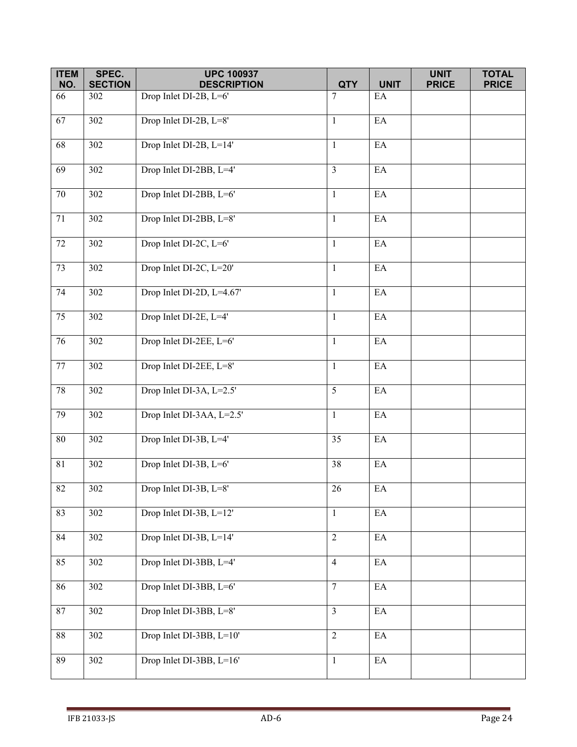| <b>ITEM</b><br>NO. | SPEC.<br><b>SECTION</b> | <b>UPC 100937</b><br><b>DESCRIPTION</b> | <b>QTY</b>      | <b>UNIT</b>                | <b>UNIT</b><br><b>PRICE</b> | <b>TOTAL</b><br><b>PRICE</b> |
|--------------------|-------------------------|-----------------------------------------|-----------------|----------------------------|-----------------------------|------------------------------|
| 66                 | 302                     | Drop Inlet DI-2B, L=6'                  | $7\phantom{.0}$ | EA                         |                             |                              |
|                    |                         |                                         |                 |                            |                             |                              |
| 67                 | 302                     | Drop Inlet DI-2B, L=8'                  | $\mathbf{1}$    | $\mathop{\rm EA}\nolimits$ |                             |                              |
| 68                 | 302                     | Drop Inlet DI-2B, L=14'                 | $\mathbf{1}$    | $\mathop{\rm EA}\nolimits$ |                             |                              |
| 69                 | 302                     | Drop Inlet DI-2BB, L=4'                 | $\overline{3}$  | EA                         |                             |                              |
| $70\,$             | 302                     | Drop Inlet DI-2BB, L=6'                 | $\mathbf{1}$    | $\rm EA$                   |                             |                              |
| 71                 | 302                     | Drop Inlet DI-2BB, L=8'                 | $\mathbf{1}$    | $\rm EA$                   |                             |                              |
| $72\,$             | 302                     | Drop Inlet DI-2C, L=6'                  | $\mathbf{1}$    | EA                         |                             |                              |
| 73                 | 302                     | Drop Inlet DI-2C, L=20'                 | $\mathbf{1}$    | EA                         |                             |                              |
| 74                 | 302                     | Drop Inlet DI-2D, L=4.67'               | $\mathbf{1}$    | $\rm EA$                   |                             |                              |
| 75                 | 302                     | Drop Inlet DI-2E, L=4'                  | $\mathbf{1}$    | $\mathop{\rm EA}\nolimits$ |                             |                              |
| 76                 | 302                     | Drop Inlet DI-2EE, L=6'                 | $\mathbf{1}$    | $\rm EA$                   |                             |                              |
| $77\,$             | 302                     | Drop Inlet DI-2EE, L=8'                 | $\mathbf{1}$    | EA                         |                             |                              |
| $78\,$             | 302                     | Drop Inlet DI-3A, L=2.5'                | 5               | EA                         |                             |                              |
| 79                 | 302                     | Drop Inlet DI-3AA, L=2.5'               | $\mathbf{1}$    | $\rm EA$                   |                             |                              |
| 80                 | 302                     | Drop Inlet DI-3B, L=4'                  | 35              | $\mathop{\rm EA}\nolimits$ |                             |                              |
| 81                 | 302                     | Drop Inlet DI-3B, L=6'                  | 38              | EA                         |                             |                              |
| 82                 | 302                     | Drop Inlet DI-3B, L=8'                  | 26              | $\mathop{\rm EA}\nolimits$ |                             |                              |
| 83                 | 302                     | Drop Inlet DI-3B, L=12'                 | $\mathbf{1}$    | $\rm EA$                   |                             |                              |
| 84                 | 302                     | Drop Inlet DI-3B, L=14'                 | $\overline{2}$  | $\rm EA$                   |                             |                              |
| 85                 | 302                     | Drop Inlet DI-3BB, L=4'                 | $\overline{4}$  | $\rm EA$                   |                             |                              |
| 86                 | 302                     | Drop Inlet DI-3BB, L=6'                 | $\overline{7}$  | $\mathop{\rm EA}\nolimits$ |                             |                              |
| 87                 | 302                     | Drop Inlet DI-3BB, L=8'                 | $\overline{3}$  | $\rm EA$                   |                             |                              |
| 88                 | 302                     | Drop Inlet DI-3BB, L=10'                | $\overline{2}$  | $\mathop{\rm EA}\nolimits$ |                             |                              |
| 89                 | 302                     | Drop Inlet DI-3BB, L=16'                | $\mathbf{1}$    | $\rm EA$                   |                             |                              |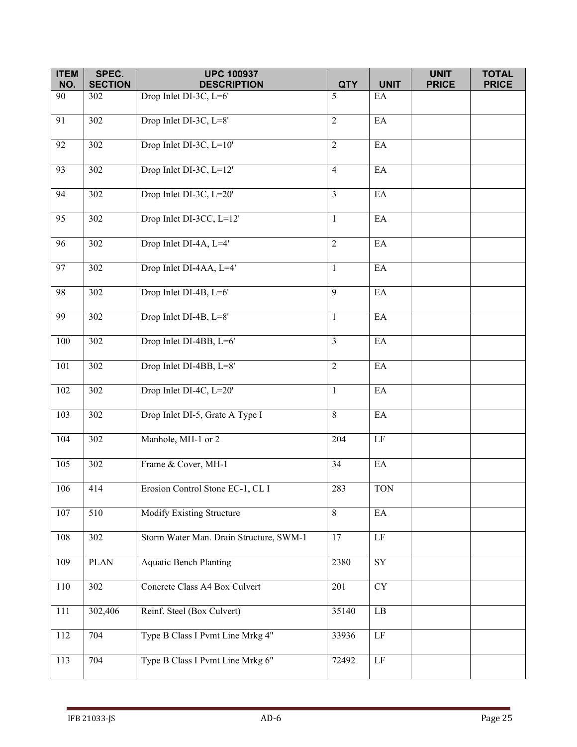| <b>ITEM</b><br>NO. | SPEC.<br><b>SECTION</b> | <b>UPC 100937</b><br><b>DESCRIPTION</b> | <b>QTY</b>     | <b>UNIT</b>                | <b>UNIT</b><br><b>PRICE</b> | <b>TOTAL</b><br><b>PRICE</b> |
|--------------------|-------------------------|-----------------------------------------|----------------|----------------------------|-----------------------------|------------------------------|
| 90                 | 302                     | Drop Inlet DI-3C, L=6'                  | 5              | EA                         |                             |                              |
| 91                 | $\overline{3}02$        | Drop Inlet DI-3C, L=8'                  | 2              | EA                         |                             |                              |
|                    |                         |                                         |                |                            |                             |                              |
| 92                 | 302                     | Drop Inlet DI-3C, L=10'                 | $\overline{2}$ | EA                         |                             |                              |
| 93                 | 302                     | Drop Inlet DI-3C, L=12'                 | $\overline{4}$ | EA                         |                             |                              |
| 94                 | 302                     | Drop Inlet DI-3C, L=20'                 | $\overline{3}$ | $\rm EA$                   |                             |                              |
| 95                 | 302                     | Drop Inlet DI-3CC, L=12'                | $\mathbf{1}$   | EA                         |                             |                              |
| 96                 | 302                     | Drop Inlet DI-4A, L=4'                  | $\overline{2}$ | $\mathop{\rm EA}\nolimits$ |                             |                              |
| 97                 | $\overline{3}02$        | Drop Inlet DI-4AA, L=4'                 | $\mathbf{1}$   | $\mathop{\rm EA}\nolimits$ |                             |                              |
| 98                 | 302                     | Drop Inlet DI-4B, L=6'                  | 9              | EA                         |                             |                              |
| 99                 | 302                     | Drop Inlet DI-4B, L=8'                  | $\mathbf{1}$   | EA                         |                             |                              |
| 100                | 302                     | Drop Inlet DI-4BB, L=6'                 | $\overline{3}$ | $\rm EA$                   |                             |                              |
| 101                | 302                     | Drop Inlet DI-4BB, L=8'                 | $\overline{2}$ | EA                         |                             |                              |
| 102                | 302                     | Drop Inlet DI-4C, L=20'                 | $\mathbf{1}$   | $\mathop{\rm EA}\nolimits$ |                             |                              |
| 103                | 302                     | Drop Inlet DI-5, Grate A Type I         | 8              | $\mathop{\rm EA}\nolimits$ |                             |                              |
| 104                | 302                     | Manhole, MH-1 or 2                      | 204            | $\rm LF$                   |                             |                              |
| 105                | 302                     | Frame & Cover, MH-1                     | 34             | EA                         |                             |                              |
| 106                | 414                     | Erosion Control Stone EC-1, CL I        | 283            | <b>TON</b>                 |                             |                              |
| 107                | 510                     | Modify Existing Structure               | 8              | EA                         |                             |                              |
| 108                | 302                     | Storm Water Man. Drain Structure, SWM-1 | 17             | LF                         |                             |                              |
| 109                | <b>PLAN</b>             | <b>Aquatic Bench Planting</b>           | 2380           | ${\rm SY}$                 |                             |                              |
| 110                | 302                     | Concrete Class A4 Box Culvert           | 201            | <b>CY</b>                  |                             |                              |
| 111                | 302,406                 | Reinf. Steel (Box Culvert)              | 35140          | $\rm LB$                   |                             |                              |
| 112                | 704                     | Type B Class I Pvmt Line Mrkg 4"        | 33936          | LF                         |                             |                              |
| 113                | 704                     | Type B Class I Pvmt Line Mrkg 6"        | 72492          | $\rm LF$                   |                             |                              |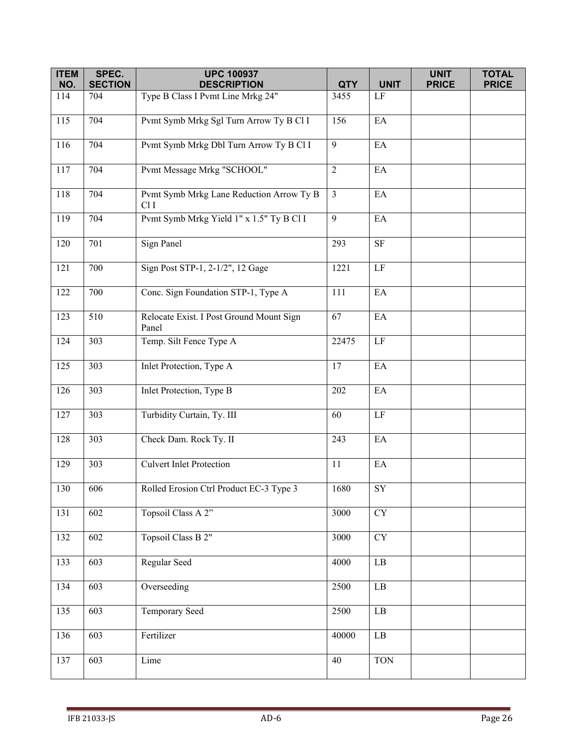| <b>ITEM</b> | SPEC.          | <b>UPC 100937</b>                                           |                |                            | <b>UNIT</b>  | <b>TOTAL</b> |
|-------------|----------------|-------------------------------------------------------------|----------------|----------------------------|--------------|--------------|
| NO.         | <b>SECTION</b> | <b>DESCRIPTION</b>                                          | <b>QTY</b>     | <b>UNIT</b>                | <b>PRICE</b> | <b>PRICE</b> |
| 114         | 704            | Type B Class I Pvmt Line Mrkg 24"                           | 3455           | LF                         |              |              |
| 115         | 704            | Pvmt Symb Mrkg Sgl Turn Arrow Ty B Cl I                     | 156            | $\mathop{\rm EA}\nolimits$ |              |              |
| 116         | 704            | Pvmt Symb Mrkg Dbl Turn Arrow Ty B Cl I                     | 9              | EA                         |              |              |
| 117         | 704            | Pvmt Message Mrkg "SCHOOL"                                  | $\overline{2}$ | EA                         |              |              |
| 118         | 704            | Pvmt Symb Mrkg Lane Reduction Arrow Ty B<br>Cl <sub>I</sub> | $\mathfrak{Z}$ | EA                         |              |              |
| 119         | 704            | Pvmt Symb Mrkg Yield 1" x 1.5" Ty B Cl I                    | 9              | EA                         |              |              |
| 120         | 701            | <b>Sign Panel</b>                                           | 293            | $\rm{SF}$                  |              |              |
| 121         | 700            | Sign Post STP-1, 2-1/2", 12 Gage                            | 1221           | LF                         |              |              |
| 122         | 700            | Conc. Sign Foundation STP-1, Type A                         | 111            | EA                         |              |              |
| 123         | 510            | Relocate Exist. I Post Ground Mount Sign<br>Panel           | 67             | EA                         |              |              |
| 124         | 303            | Temp. Silt Fence Type A                                     | 22475          | LF                         |              |              |
| 125         | 303            | Inlet Protection, Type A                                    | 17             | EA                         |              |              |
| 126         | 303            | Inlet Protection, Type B                                    | 202            | EA                         |              |              |
| 127         | 303            | Turbidity Curtain, Ty. III                                  | 60             | $\rm LF$                   |              |              |
| 128         | 303            | Check Dam. Rock Ty. II                                      | 243            | EA                         |              |              |
| 129         | 303            | Culvert Inlet Protection                                    | 11             | EA                         |              |              |
| 130         | 606            | Rolled Erosion Ctrl Product EC-3 Type 3                     | 1680           | SY                         |              |              |
| 131         | 602            | Topsoil Class A 2"                                          | 3000           | $\overline{\text{CY}}$     |              |              |
| 132         | 602            | Topsoil Class B 2"                                          | 3000           | <b>CY</b>                  |              |              |
| 133         | 603            | Regular Seed                                                | 4000           | $\rm LB$                   |              |              |
| 134         | 603            | Overseeding                                                 | 2500           | $\rm LB$                   |              |              |
| 135         | 603            | Temporary Seed                                              | 2500           | $\rm LB$                   |              |              |
| 136         | 603            | Fertilizer                                                  | 40000          | $\rm LB$                   |              |              |
| 137         | 603            | Lime                                                        | 40             | <b>TON</b>                 |              |              |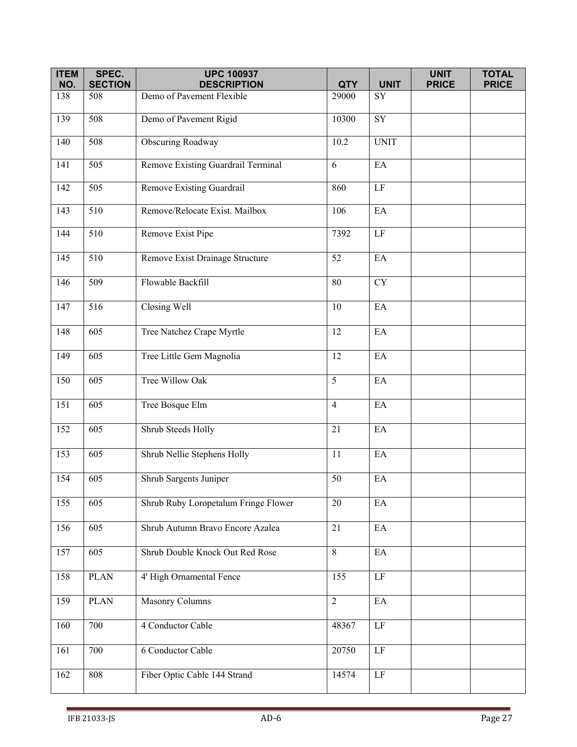| <b>ITEM</b> | SPEC.            | <b>UPC 100937</b>                               |                     |                            | <b>UNIT</b>  | <b>TOTAL</b> |
|-------------|------------------|-------------------------------------------------|---------------------|----------------------------|--------------|--------------|
| NO.         | <b>SECTION</b>   | <b>DESCRIPTION</b><br>Demo of Pavement Flexible | <b>QTY</b><br>29000 | <b>UNIT</b><br>SY          | <b>PRICE</b> | <b>PRICE</b> |
| 138         | 508              |                                                 |                     |                            |              |              |
| 139         | 508              | Demo of Pavement Rigid                          | 10300               | SY                         |              |              |
| 140         | 508              | <b>Obscuring Roadway</b>                        | 10.2                | <b>UNIT</b>                |              |              |
| 141         | 505              | Remove Existing Guardrail Terminal              | 6                   | EA                         |              |              |
| 142         | 505              | Remove Existing Guardrail                       | 860                 | LF                         |              |              |
| 143         | 510              | Remove/Relocate Exist. Mailbox                  | 106                 | EA                         |              |              |
| 144         | 510              | Remove Exist Pipe                               | 7392                | $\rm LF$                   |              |              |
| 145         | $\overline{510}$ | Remove Exist Drainage Structure                 | $\overline{52}$     | EA                         |              |              |
| 146         | 509              | Flowable Backfill                               | 80                  | <b>CY</b>                  |              |              |
| 147         | 516              | Closing Well                                    | 10                  | EA                         |              |              |
| 148         | 605              | Tree Natchez Crape Myrtle                       | $\overline{12}$     | EA                         |              |              |
| 149         | 605              | Tree Little Gem Magnolia                        | 12                  | EA                         |              |              |
| 150         | 605              | Tree Willow Oak                                 | 5                   | EA                         |              |              |
| 151         | $\overline{605}$ | Tree Bosque Elm                                 | $\overline{4}$      | EA                         |              |              |
| 152         | 605              | Shrub Steeds Holly                              | 21                  | EA                         |              |              |
| 153         | 605              | Shrub Nellie Stephens Holly                     | 11                  | EA                         |              |              |
| 154         | $\overline{605}$ | Shrub Sargents Juniper                          | 50                  | EA                         |              |              |
| 155         | 605              | Shrub Ruby Loropetalum Fringe Flower            | 20                  | $\rm EA$                   |              |              |
| 156         | 605              | Shrub Autumn Bravo Encore Azalea                | 21                  | $\mathop{\rm EA}\nolimits$ |              |              |
| 157         | $\overline{605}$ | Shrub Double Knock Out Red Rose                 | $\overline{8}$      | EA                         |              |              |
| 158         | <b>PLAN</b>      | 4' High Ornamental Fence                        | 155                 | LF                         |              |              |
| 159         | PLAN             | Masonry Columns                                 | $\overline{2}$      | $\mathop{\rm EA}\nolimits$ |              |              |
| 160         | 700              | 4 Conductor Cable                               | 48367               | LF                         |              |              |
| 161         | 700              | 6 Conductor Cable                               | 20750               | $\rm LF$                   |              |              |
| 162         | 808              | Fiber Optic Cable 144 Strand                    | 14574               | $\rm LF$                   |              |              |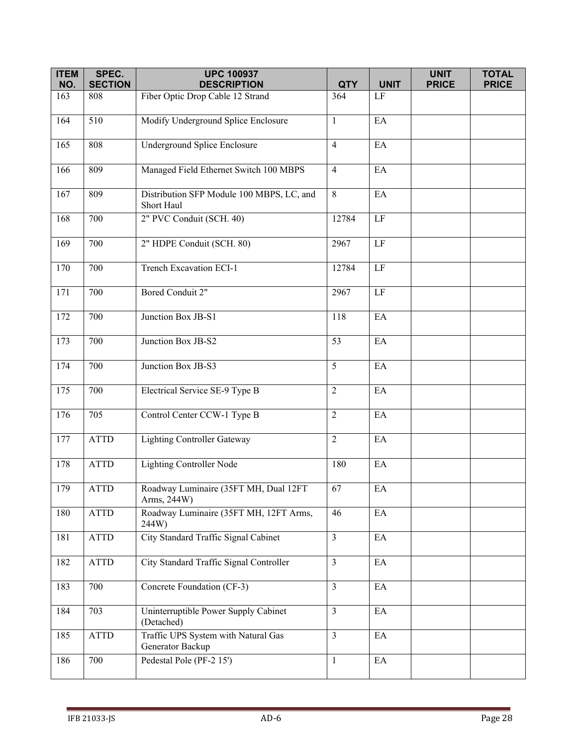| <b>ITEM</b> | SPEC.          | <b>UPC 100937</b>                                       |                |                            | <b>UNIT</b>  | <b>TOTAL</b> |
|-------------|----------------|---------------------------------------------------------|----------------|----------------------------|--------------|--------------|
| NO.         | <b>SECTION</b> | <b>DESCRIPTION</b>                                      | <b>QTY</b>     | <b>UNIT</b>                | <b>PRICE</b> | <b>PRICE</b> |
| 163         | 808            | Fiber Optic Drop Cable 12 Strand                        | 364            | $\rm LF$                   |              |              |
| 164         | 510            | Modify Underground Splice Enclosure                     | $\mathbf{1}$   | $E\overline{A}$            |              |              |
| 165         | 808            | Underground Splice Enclosure                            | $\overline{4}$ | EA                         |              |              |
| 166         | 809            | Managed Field Ethernet Switch 100 MBPS                  | $\overline{4}$ | EA                         |              |              |
| 167         | 809            | Distribution SFP Module 100 MBPS, LC, and<br>Short Haul | 8              | $\mathop{\rm EA}\nolimits$ |              |              |
| 168         | 700            | 2" PVC Conduit (SCH. 40)                                | 12784          | $\rm LF$                   |              |              |
| 169         | 700            | 2" HDPE Conduit (SCH. 80)                               | 2967           | $\rm LF$                   |              |              |
| 170         | 700            | Trench Excavation ECI-1                                 | 12784          | $\rm LF$                   |              |              |
| 171         | 700            | Bored Conduit 2"                                        | 2967           | $\rm LF$                   |              |              |
| 172         | 700            | Junction Box JB-S1                                      | 118            | EA                         |              |              |
| 173         | 700            | Junction Box JB-S2                                      | 53             | $\mathop{\rm EA}\nolimits$ |              |              |
| 174         | 700            | Junction Box JB-S3                                      | 5              | EA                         |              |              |
| 175         | 700            | Electrical Service SE-9 Type B                          | $\overline{2}$ | EA                         |              |              |
| 176         | 705            | Control Center CCW-1 Type B                             | $\overline{2}$ | EA                         |              |              |
| 177         | <b>ATTD</b>    | <b>Lighting Controller Gateway</b>                      | $\overline{2}$ | EA                         |              |              |
| 178         | <b>ATTD</b>    | <b>Lighting Controller Node</b>                         | 180            | EA                         |              |              |
| 179         | <b>ATTD</b>    | Roadway Luminaire (35FT MH, Dual 12FT<br>Arms, 244W)    | 67             | $\mathop{\rm EA}\nolimits$ |              |              |
| 180         | <b>ATTD</b>    | Roadway Luminaire (35FT MH, 12FT Arms,<br>244W)         | 46             | EA                         |              |              |
| 181         | <b>ATTD</b>    | City Standard Traffic Signal Cabinet                    | $\overline{3}$ | EA                         |              |              |
| 182         | <b>ATTD</b>    | City Standard Traffic Signal Controller                 | $\overline{3}$ | EA                         |              |              |
| 183         | 700            | Concrete Foundation (CF-3)                              | $\overline{3}$ | $\mathop{\rm EA}\nolimits$ |              |              |
| 184         | 703            | Uninterruptible Power Supply Cabinet<br>(Detached)      | $\overline{3}$ | $\mathop{\rm EA}\nolimits$ |              |              |
| 185         | ATTD           | Traffic UPS System with Natural Gas<br>Generator Backup | $\overline{3}$ | EA                         |              |              |
| 186         | 700            | Pedestal Pole (PF-2 15')                                | $\mathbf{1}$   | $\rm EA$                   |              |              |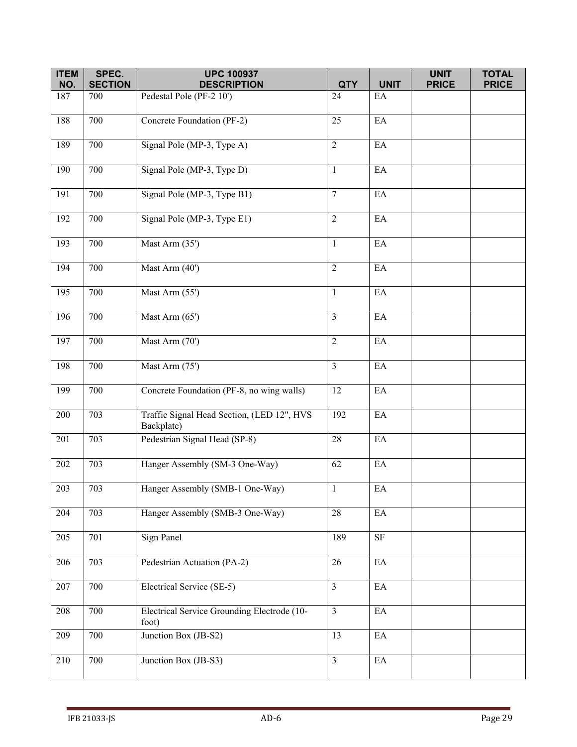| <b>ITEM</b> | SPEC.                 | <b>UPC 100937</b>                                        |                  |                            | <b>UNIT</b>  | <b>TOTAL</b> |
|-------------|-----------------------|----------------------------------------------------------|------------------|----------------------------|--------------|--------------|
| NO.<br>187  | <b>SECTION</b><br>700 | <b>DESCRIPTION</b><br>Pedestal Pole (PF-2 10')           | <b>QTY</b><br>24 | <b>UNIT</b><br>EA          | <b>PRICE</b> | <b>PRICE</b> |
|             |                       |                                                          |                  |                            |              |              |
| 188         | 700                   | Concrete Foundation (PF-2)                               | 25               | EA                         |              |              |
| 189         | 700                   | Signal Pole (MP-3, Type A)                               | $\overline{2}$   | EA                         |              |              |
| 190         | 700                   | Signal Pole (MP-3, Type D)                               | $\mathbf{1}$     | EA                         |              |              |
| 191         | 700                   | Signal Pole (MP-3, Type B1)                              | $7\overline{ }$  | $\rm EA$                   |              |              |
| 192         | 700                   | Signal Pole (MP-3, Type E1)                              | $\overline{2}$   | EA                         |              |              |
| 193         | 700                   | Mast Arm (35')                                           | $\mathbf{1}$     | EA                         |              |              |
| 194         | 700                   | Mast Arm $(40)$                                          | $\overline{2}$   | $\mathop{\rm EA}\nolimits$ |              |              |
| 195         | 700                   | Mast Arm (55')                                           | $\mathbf{1}$     | EA                         |              |              |
| 196         | 700                   | Mast Arm (65')                                           | $\overline{3}$   | EA                         |              |              |
| 197         | 700                   | Mast Arm (70')                                           | $\overline{2}$   | $\rm EA$                   |              |              |
| 198         | 700                   | Mast Arm (75')                                           | $\overline{3}$   | EA                         |              |              |
| 199         | 700                   | Concrete Foundation (PF-8, no wing walls)                | 12               | $\mathop{\rm EA}\nolimits$ |              |              |
| 200         | 703                   | Traffic Signal Head Section, (LED 12", HVS<br>Backplate) | 192              | $\mathop{\rm EA}\nolimits$ |              |              |
| 201         | 703                   | Pedestrian Signal Head (SP-8)                            | 28               | EA                         |              |              |
| 202         | 703                   | Hanger Assembly (SM-3 One-Way)                           | 62               | EA                         |              |              |
| 203         | 703                   | Hanger Assembly (SMB-1 One-Way)                          | $\mathbf{1}$     | $\mathop{\rm EA}\nolimits$ |              |              |
| 204         | 703                   | Hanger Assembly (SMB-3 One-Way)                          | 28               | $\mathbf{E}\mathbf{A}$     |              |              |
| 205         | 701                   | <b>Sign Panel</b>                                        | 189              | $\rm SF$                   |              |              |
| 206         | 703                   | Pedestrian Actuation (PA-2)                              | 26               | $\mathop{\rm EA}\nolimits$ |              |              |
| 207         | 700                   | Electrical Service (SE-5)                                | $\mathfrak{Z}$   | $\mathop{\rm EA}\nolimits$ |              |              |
| 208         | 700                   | Electrical Service Grounding Electrode (10-<br>foot)     | $\overline{3}$   | EA                         |              |              |
| 209         | 700                   | Junction Box (JB-S2)                                     | 13               | $\mathop{\rm EA}\nolimits$ |              |              |
| 210         | 700                   | Junction Box (JB-S3)                                     | $\overline{3}$   | $\mathop{\rm EA}\nolimits$ |              |              |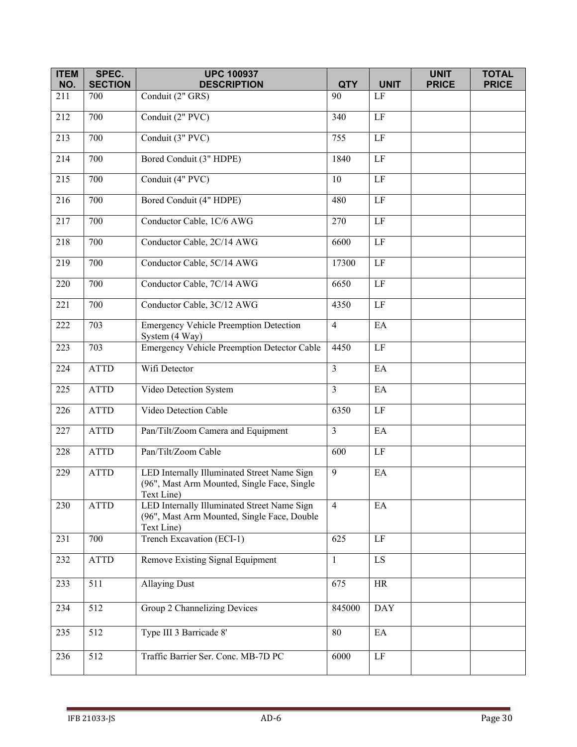| <b>ITEM</b><br>NO. | SPEC.<br><b>SECTION</b> | <b>UPC 100937</b><br><b>DESCRIPTION</b>                                                                  | <b>QTY</b>        | <b>UNIT</b>            | <b>UNIT</b><br><b>PRICE</b> | <b>TOTAL</b><br><b>PRICE</b> |
|--------------------|-------------------------|----------------------------------------------------------------------------------------------------------|-------------------|------------------------|-----------------------------|------------------------------|
| 211                | 700                     | Conduit (2" GRS)                                                                                         | 90                | LF                     |                             |                              |
| 212                | 700                     | Conduit (2" PVC)                                                                                         | 340               | $\rm LF$               |                             |                              |
| 213                | 700                     | Conduit (3" PVC)                                                                                         | 755               | $\rm LF$               |                             |                              |
| 214                | 700                     | Bored Conduit (3" HDPE)                                                                                  | 1840              | $\rm LF$               |                             |                              |
| 215                | 700                     | Conduit (4" PVC)                                                                                         | 10                | LF                     |                             |                              |
| 216                | 700                     | Bored Conduit (4" HDPE)                                                                                  | 480               | $\rm LF$               |                             |                              |
| 217                | 700                     | Conductor Cable, 1C/6 AWG                                                                                | 270               | $\rm LF$               |                             |                              |
| 218                | 700                     | Conductor Cable, 2C/14 AWG                                                                               | $\overline{66}00$ | $\overline{LF}$        |                             |                              |
| 219                | 700                     | Conductor Cable, 5C/14 AWG                                                                               | 17300             | $\rm LF$               |                             |                              |
| 220                | 700                     | Conductor Cable, 7C/14 AWG                                                                               | 6650              | $\rm LF$               |                             |                              |
| 221                | 700                     | Conductor Cable, 3C/12 AWG                                                                               | 4350              | $\rm LF$               |                             |                              |
| 222                | 703                     | <b>Emergency Vehicle Preemption Detection</b><br>System (4 Way)                                          | $\overline{4}$    | EA                     |                             |                              |
| 223                | 703                     | Emergency Vehicle Preemption Detector Cable                                                              | 4450              | LF                     |                             |                              |
| 224                | <b>ATTD</b>             | Wifi Detector                                                                                            | $\overline{3}$    | EA                     |                             |                              |
| 225                | <b>ATTD</b>             | Video Detection System                                                                                   | $\overline{3}$    | EA                     |                             |                              |
| 226                | <b>ATTD</b>             | Video Detection Cable                                                                                    | 6350              | $\rm LF$               |                             |                              |
| 227                | <b>ATTD</b>             | Pan/Tilt/Zoom Camera and Equipment                                                                       | $\overline{3}$    | EA                     |                             |                              |
| 228                | <b>ATTD</b>             | Pan/Tilt/Zoom Cable                                                                                      | 600               | $\rm LF$               |                             |                              |
| 229                | <b>ATTD</b>             | LED Internally Illuminated Street Name Sign<br>(96", Mast Arm Mounted, Single Face, Single<br>Text Line) | $\overline{9}$    | EA                     |                             |                              |
| 230                | <b>ATTD</b>             | LED Internally Illuminated Street Name Sign<br>(96", Mast Arm Mounted, Single Face, Double<br>Text Line) | $\overline{4}$    | EA                     |                             |                              |
| 231                | 700                     | Trench Excavation (ECI-1)                                                                                | 625               | LF                     |                             |                              |
| 232                | <b>ATTD</b>             | Remove Existing Signal Equipment                                                                         | $\mathbf{1}$      | $\mathbf{L}\mathbf{S}$ |                             |                              |
| 233                | 511                     | <b>Allaying Dust</b>                                                                                     | 675               | <b>HR</b>              |                             |                              |
| 234                | 512                     | Group 2 Channelizing Devices                                                                             | 845000            | <b>DAY</b>             |                             |                              |
| 235                | 512                     | Type III 3 Barricade 8'                                                                                  | 80                | EA                     |                             |                              |
| 236                | 512                     | Traffic Barrier Ser. Conc. MB-7D PC                                                                      | 6000              | $\rm LF$               |                             |                              |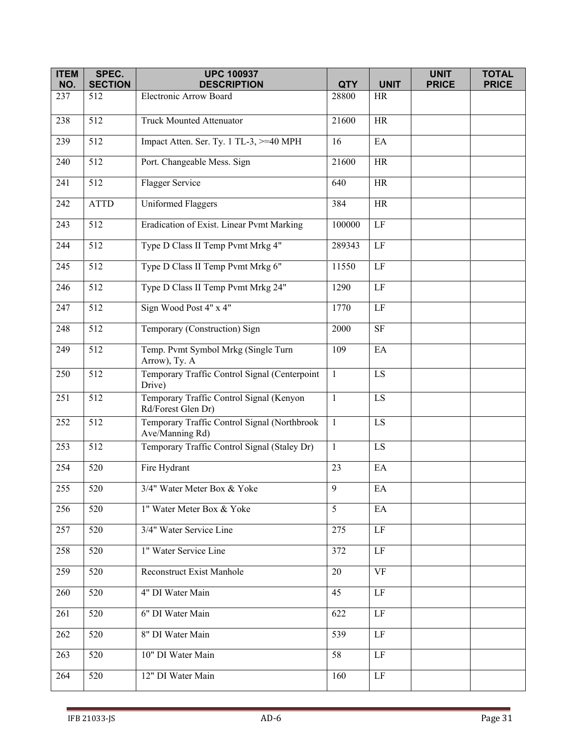| <b>ITEM</b><br>NO. | SPEC.<br><b>SECTION</b> | <b>UPC 100937</b><br><b>DESCRIPTION</b>                         | <b>QTY</b>      | <b>UNIT</b>              | <b>UNIT</b><br><b>PRICE</b> | <b>TOTAL</b><br><b>PRICE</b> |
|--------------------|-------------------------|-----------------------------------------------------------------|-----------------|--------------------------|-----------------------------|------------------------------|
| 237                | 512                     | Electronic Arrow Board                                          | 28800           | $\rm{HR}$                |                             |                              |
|                    | 512                     |                                                                 |                 |                          |                             |                              |
| 238                |                         | Truck Mounted Attenuator                                        | 21600           | <b>HR</b>                |                             |                              |
| 239                | $\overline{512}$        | Impact Atten. Ser. Ty. 1 TL-3, >=40 MPH                         | 16              | EA                       |                             |                              |
| 240                | $\overline{512}$        | Port. Changeable Mess. Sign                                     | 21600           | HR                       |                             |                              |
| 241                | 512                     | Flagger Service                                                 | 640             | HR                       |                             |                              |
| 242                | <b>ATTD</b>             | <b>Uniformed Flaggers</b>                                       | 384             | <b>HR</b>                |                             |                              |
| 243                | $\overline{512}$        | Eradication of Exist. Linear Pvmt Marking                       | 100000          | $\overline{LF}$          |                             |                              |
| 244                | 512                     | Type D Class II Temp Pvmt Mrkg 4"                               | 289343          | $\rm LF$                 |                             |                              |
| 245                | 512                     | Type D Class II Temp Pvmt Mrkg 6"                               | 11550           | $\rm LF$                 |                             |                              |
| 246                | 512                     | Type D Class II Temp Pvmt Mrkg 24"                              | 1290            | $\rm LF$                 |                             |                              |
| 247                | 512                     | Sign Wood Post 4" x 4"                                          | 1770            | $\rm LF$                 |                             |                              |
| 248                | 512                     | Temporary (Construction) Sign                                   | 2000            | <b>SF</b>                |                             |                              |
| 249                | 512                     | Temp. Pvmt Symbol Mrkg (Single Turn<br>Arrow), Ty. A            | 109             | EA                       |                             |                              |
| 250                | 512                     | Temporary Traffic Control Signal (Centerpoint<br>Drive)         | $\mathbf{1}$    | LS                       |                             |                              |
| 251                | 512                     | Temporary Traffic Control Signal (Kenyon<br>Rd/Forest Glen Dr)  | $\mathbf{1}$    | $\mathop{\hbox{\rm LS}}$ |                             |                              |
| 252                | 512                     | Temporary Traffic Control Signal (Northbrook<br>Ave/Manning Rd) | $\mathbf{1}$    | $\mathbf{L}\mathbf{S}$   |                             |                              |
| 253                | 512                     | Temporary Traffic Control Signal (Staley Dr)                    | $\mathbf{1}$    | LS                       |                             |                              |
| 254                | 520                     | Fire Hydrant                                                    | 23              | EA                       |                             |                              |
| 255                | 520                     | 3/4" Water Meter Box & Yoke                                     | $\overline{9}$  | EA                       |                             |                              |
| 256                | 520                     | 1" Water Meter Box & Yoke                                       | $5\overline{)}$ | EA                       |                             |                              |
| 257                | 520                     | 3/4" Water Service Line                                         | 275             | $\rm LF$                 |                             |                              |
| 258                | 520                     | 1" Water Service Line                                           | 372             | LF                       |                             |                              |
| 259                | 520                     | <b>Reconstruct Exist Manhole</b>                                | 20              | <b>VF</b>                |                             |                              |
| 260                | 520                     | 4" DI Water Main                                                | 45              | LF                       |                             |                              |
| 261                | 520                     | 6" DI Water Main                                                | 622             | $\rm LF$                 |                             |                              |
| 262                | 520                     | 8" DI Water Main                                                | 539             | $\rm LF$                 |                             |                              |
| 263                | 520                     | 10" DI Water Main                                               | 58              | $\rm LF$                 |                             |                              |
| 264                | 520                     | 12" DI Water Main                                               | 160             | LF                       |                             |                              |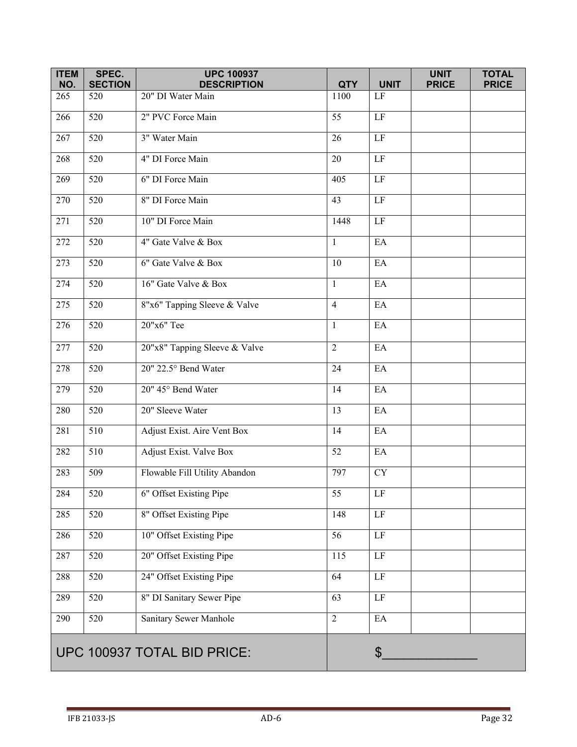| <b>ITEM</b><br>NO. | SPEC.<br><b>SECTION</b>     | <b>UPC 100937</b><br><b>DESCRIPTION</b> | <b>QTY</b>       | <b>UNIT</b>                | <b>UNIT</b><br><b>PRICE</b> | <b>TOTAL</b><br><b>PRICE</b> |
|--------------------|-----------------------------|-----------------------------------------|------------------|----------------------------|-----------------------------|------------------------------|
| 265                | 520                         | 20" DI Water Main                       | 1100             | LF                         |                             |                              |
| 266                | 520                         | 2" PVC Force Main                       | 55               | $\rm LF$                   |                             |                              |
| 267                | 520                         | 3" Water Main                           | 26               | $\rm LF$                   |                             |                              |
| 268                | 520                         | 4" DI Force Main                        | 20               | $\rm LF$                   |                             |                              |
| 269                | 520                         | 6" DI Force Main                        | 405              | $\rm LF$                   |                             |                              |
| 270                | 520                         | 8" DI Force Main                        | 43               | $\rm LF$                   |                             |                              |
| 271                | 520                         | 10" DI Force Main                       | 1448             | $\rm LF$                   |                             |                              |
| 272                | $\overline{520}$            | 4" Gate Valve & Box                     | $\mathbf{1}$     | EA                         |                             |                              |
| 273                | 520                         | 6" Gate Valve & Box                     | 10               | EA                         |                             |                              |
| 274                | 520                         | 16" Gate Valve & Box                    | $\mathbf{1}$     | EA                         |                             |                              |
| 275                | 520                         | 8"x6" Tapping Sleeve & Valve            | $\overline{4}$   | EA                         |                             |                              |
| 276                | 520                         | 20"x6" Tee                              | $\mathbf{1}$     | EA                         |                             |                              |
| 277                | 520                         | 20"x8" Tapping Sleeve & Valve           | $\overline{2}$   | EA                         |                             |                              |
| 278                | 520                         | 20" 22.5° Bend Water                    | 24               | EA                         |                             |                              |
| 279                | 520                         | 20" 45° Bend Water                      | 14               | EA                         |                             |                              |
| 280                | 520                         | 20" Sleeve Water                        | 13               | EA                         |                             |                              |
| 281                | 510                         | Adjust Exist. Aire Vent Box             | 14               | EA                         |                             |                              |
| 282                | 510                         | Adjust Exist. Valve Box                 | 52               | EA                         |                             |                              |
| 283                | 509                         | Flowable Fill Utility Abandon           | 797              | ${\rm CY}$                 |                             |                              |
| 284                | 520                         | 6" Offset Existing Pipe                 | 55               | LF                         |                             |                              |
| 285                | $\overline{520}$            | 8" Offset Existing Pipe                 | 148              | $\rm LF$                   |                             |                              |
| 286                | $\overline{520}$            | 10" Offset Existing Pipe                | $\overline{56}$  | LF                         |                             |                              |
| 287                | 520                         | 20" Offset Existing Pipe                | $\overline{115}$ | LF                         |                             |                              |
| 288                | 520                         | 24" Offset Existing Pipe                | 64               | $\rm LF$                   |                             |                              |
| 289                | 520                         | 8" DI Sanitary Sewer Pipe               | 63               | $\rm LF$                   |                             |                              |
| 290                | 520                         | Sanitary Sewer Manhole                  | $\overline{2}$   | $\mathop{\rm EA}\nolimits$ |                             |                              |
|                    | UPC 100937 TOTAL BID PRICE: |                                         |                  | $\boldsymbol{\mathsf{S}}$  |                             |                              |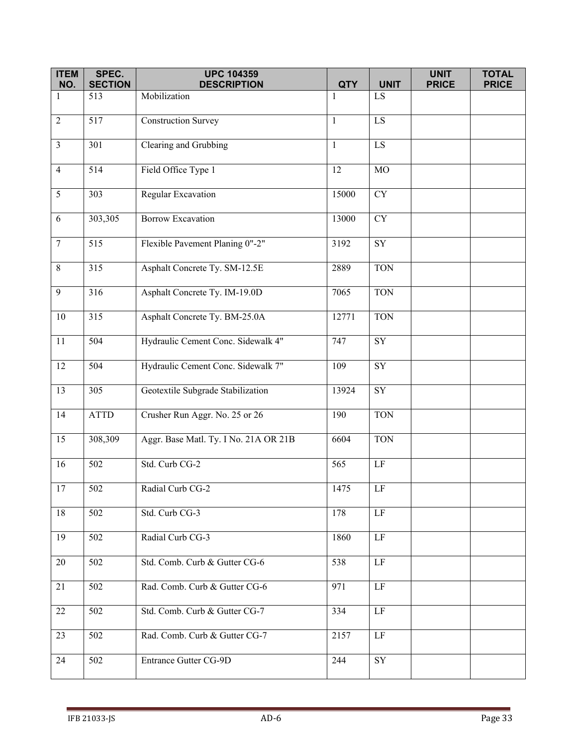| <b>ITEM</b><br>NO. | SPEC.<br><b>SECTION</b> | <b>UPC 104359</b><br><b>DESCRIPTION</b> | <b>QTY</b>   | <b>UNIT</b>     | <b>UNIT</b><br><b>PRICE</b> | <b>TOTAL</b><br><b>PRICE</b> |
|--------------------|-------------------------|-----------------------------------------|--------------|-----------------|-----------------------------|------------------------------|
| 1                  | 513                     | Mobilization                            | $\mathbf{1}$ | LS.             |                             |                              |
|                    |                         |                                         |              |                 |                             |                              |
| $\overline{2}$     | 517                     | <b>Construction Survey</b>              | -1           | $\overline{LS}$ |                             |                              |
| $\overline{3}$     | 301                     | Clearing and Grubbing                   | $\mathbf{1}$ | LS              |                             |                              |
| $\overline{4}$     | 514                     | Field Office Type 1                     | 12           | $_{\rm MO}$     |                             |                              |
| $\mathfrak{S}$     | 303                     | Regular Excavation                      | 15000        | <b>CY</b>       |                             |                              |
| $\sqrt{6}$         | 303,305                 | <b>Borrow Excavation</b>                | 13000        | <b>CY</b>       |                             |                              |
| $\boldsymbol{7}$   | 515                     | Flexible Pavement Planing 0"-2"         | 3192         | ${\rm SY}$      |                             |                              |
| $\,8\,$            | 315                     | Asphalt Concrete Ty. SM-12.5E           | 2889         | <b>TON</b>      |                             |                              |
| 9                  | 316                     | Asphalt Concrete Ty. IM-19.0D           | 7065         | <b>TON</b>      |                             |                              |
| $10\,$             | 315                     | Asphalt Concrete Ty. BM-25.0A           | 12771        | <b>TON</b>      |                             |                              |
| 11                 | 504                     | Hydraulic Cement Conc. Sidewalk 4"      | 747          | SY              |                             |                              |
| 12                 | 504                     | Hydraulic Cement Conc. Sidewalk 7"      | 109          | <b>SY</b>       |                             |                              |
| 13                 | 305                     | Geotextile Subgrade Stabilization       | 13924        | ${\rm SY}$      |                             |                              |
| 14                 | <b>ATTD</b>             | Crusher Run Aggr. No. 25 or 26          | 190          | <b>TON</b>      |                             |                              |
| 15                 | 308,309                 | Aggr. Base Matl. Ty. I No. 21A OR 21B   | 6604         | <b>TON</b>      |                             |                              |
| 16                 | 502                     | Std. Curb CG-2                          | 565          | $\rm LF$        |                             |                              |
| 17                 | 502                     | Radial Curb CG-2                        | 1475         | LF              |                             |                              |
| 18                 | 502                     | Std. Curb CG-3                          | 178          | $\rm LF$        |                             |                              |
| 19                 | 502                     | Radial Curb CG-3                        | 1860         | $\rm LF$        |                             |                              |
| 20                 | 502                     | Std. Comb. Curb & Gutter CG-6           | 538          | LF              |                             |                              |
| 21                 | 502                     | Rad. Comb. Curb & Gutter CG-6           | 971          | $\rm LF$        |                             |                              |
| 22                 | 502                     | Std. Comb. Curb & Gutter CG-7           | 334          | $\rm LF$        |                             |                              |
| 23                 | 502                     | Rad. Comb. Curb & Gutter CG-7           | 2157         | LF              |                             |                              |
| 24                 | 502                     | Entrance Gutter CG-9D                   | 244          | ${\rm SY}$      |                             |                              |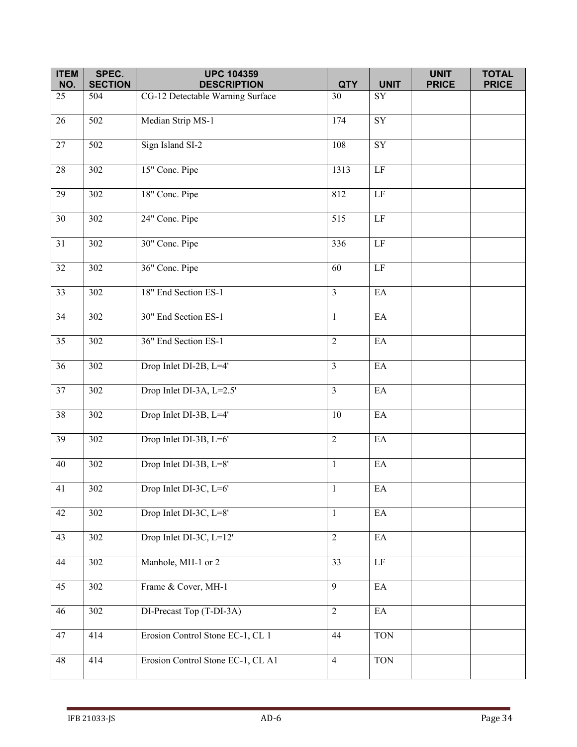| <b>ITEM</b>     | SPEC.            | <b>UPC 104359</b>                 |                |                            | <b>UNIT</b>  | <b>TOTAL</b> |
|-----------------|------------------|-----------------------------------|----------------|----------------------------|--------------|--------------|
| NO.             | <b>SECTION</b>   | <b>DESCRIPTION</b>                | <b>QTY</b>     | <b>UNIT</b>                | <b>PRICE</b> | <b>PRICE</b> |
| 25              | 504              | CG-12 Detectable Warning Surface  | 30             | SY                         |              |              |
| $\overline{26}$ | $\overline{502}$ | Median Strip MS-1                 | 174            | $\overline{\text{SY}}$     |              |              |
| 27              | 502              | Sign Island SI-2                  | 108            | ${\rm SY}$                 |              |              |
| 28              | 302              | 15" Conc. Pipe                    | 1313           | $\rm LF$                   |              |              |
| 29              | 302              | 18" Conc. Pipe                    | 812            | $\rm LF$                   |              |              |
| 30              | 302              | 24" Conc. Pipe                    | 515            | $\rm LF$                   |              |              |
| 31              | 302              | 30" Conc. Pipe                    | 336            | $\rm LF$                   |              |              |
| $\overline{32}$ | 302              | 36" Conc. Pipe                    | 60             | LF                         |              |              |
| 33              | 302              | 18" End Section ES-1              | $\overline{3}$ | $\mathop{\rm EA}\nolimits$ |              |              |
| 34              | 302              | 30" End Section ES-1              | $\mathbf{1}$   | $\mathop{\rm EA}\nolimits$ |              |              |
| 35              | 302              | 36" End Section ES-1              | 2              | EA                         |              |              |
| 36              | 302              | Drop Inlet DI-2B, L=4'            | $\overline{3}$ | $\mathop{\rm EA}\nolimits$ |              |              |
| 37              | 302              | Drop Inlet DI-3A, L=2.5'          | $\overline{3}$ | EA                         |              |              |
| $\overline{38}$ | 302              | Drop Inlet DI-3B, L=4'            | 10             | $\rm EA$                   |              |              |
| 39              | 302              | Drop Inlet DI-3B, L=6'            | $\overline{2}$ | $\rm EA$                   |              |              |
| 40              | 302              | Drop Inlet DI-3B, L=8'            | $\mathbf{1}$   | $\mathop{\rm EA}\nolimits$ |              |              |
| 41              | 302              | Drop Inlet DI-3C, L=6'            | $\mathbf{1}$   | EA                         |              |              |
| 42              | 302              | Drop Inlet DI-3C, L=8'            | $\mathbf{1}$   | $\mathop{\rm EA}\nolimits$ |              |              |
| 43              | 302              | Drop Inlet DI-3C, L=12'           | $\overline{2}$ | EA                         |              |              |
| 44              | $\overline{302}$ | Manhole, MH-1 or 2                | 33             | $\rm LF$                   |              |              |
| 45              | 302              | Frame & Cover, MH-1               | $\overline{9}$ | $\mathop{\rm EA}\nolimits$ |              |              |
| 46              | 302              | DI-Precast Top (T-DI-3A)          | $\overline{2}$ | $\mathbf{E}\mathbf{A}$     |              |              |
| 47              | 414              | Erosion Control Stone EC-1, CL 1  | 44             | <b>TON</b>                 |              |              |
| 48              | 414              | Erosion Control Stone EC-1, CL A1 | $\overline{4}$ | <b>TON</b>                 |              |              |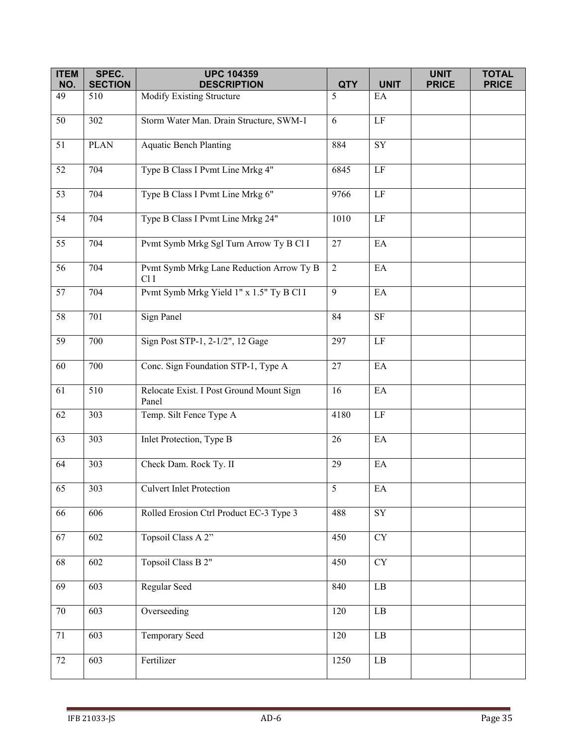| <b>ITEM</b> | SPEC.                 | <b>UPC 104359</b>                                 |                 |                            | <b>UNIT</b>  | <b>TOTAL</b> |
|-------------|-----------------------|---------------------------------------------------|-----------------|----------------------------|--------------|--------------|
| NO.<br>49   | <b>SECTION</b><br>510 | <b>DESCRIPTION</b><br>Modify Existing Structure   | <b>QTY</b><br>5 | <b>UNIT</b><br>EA          | <b>PRICE</b> | <b>PRICE</b> |
|             |                       |                                                   |                 |                            |              |              |
| 50          | 302                   | Storm Water Man. Drain Structure, SWM-1           | 6               | $\rm LF$                   |              |              |
| 51          | <b>PLAN</b>           | <b>Aquatic Bench Planting</b>                     | 884             | <b>SY</b>                  |              |              |
| 52          | 704                   | Type B Class I Pvmt Line Mrkg 4"                  | 6845            | LF                         |              |              |
| 53          | 704                   | Type B Class I Pvmt Line Mrkg 6"                  | 9766            | LF                         |              |              |
| 54          | 704                   | Type B Class I Pvmt Line Mrkg 24"                 | 1010            | $\rm LF$                   |              |              |
| 55          | 704                   | Pvmt Symb Mrkg Sgl Turn Arrow Ty B Cl I           | 27              | EA                         |              |              |
| 56          | 704                   | Pvmt Symb Mrkg Lane Reduction Arrow Ty B<br>Cl I  | $\overline{2}$  | EA                         |              |              |
| 57          | 704                   | Pvmt Symb Mrkg Yield 1" x 1.5" Ty B Cl I          | 9               | EA                         |              |              |
| 58          | 701                   | Sign Panel                                        | 84              | $\rm SF$                   |              |              |
| 59          | 700                   | Sign Post STP-1, 2-1/2", 12 Gage                  | 297             | LF                         |              |              |
| 60          | 700                   | Conc. Sign Foundation STP-1, Type A               | 27              | EA                         |              |              |
| 61          | 510                   | Relocate Exist. I Post Ground Mount Sign<br>Panel | 16              | $\mathop{\rm EA}\nolimits$ |              |              |
| 62          | 303                   | Temp. Silt Fence Type A                           | 4180            | $\rm LF$                   |              |              |
| 63          | 303                   | Inlet Protection, Type B                          | 26              | EA                         |              |              |
| 64          | 303                   | Check Dam. Rock Ty. II                            | 29              | $\mathop{\rm EA}\nolimits$ |              |              |
| 65          | 303                   | <b>Culvert Inlet Protection</b>                   | $5\overline{)}$ | $\mathop{\rm EA}\nolimits$ |              |              |
| 66          | 606                   | Rolled Erosion Ctrl Product EC-3 Type 3           | 488             | $\overline{\text{SY}}$     |              |              |
| 67          | 602                   | Topsoil Class A 2"                                | 450             | CY                         |              |              |
| 68          | 602                   | Topsoil Class B 2"                                | 450             | CY                         |              |              |
| 69          | 603                   | Regular Seed                                      | 840             | $\rm LB$                   |              |              |
| $70\,$      | 603                   | Overseeding                                       | 120             | $\rm LB$                   |              |              |
| 71          | 603                   | Temporary Seed                                    | 120             | $\rm LB$                   |              |              |
| 72          | 603                   | Fertilizer                                        | 1250            | $\rm LB$                   |              |              |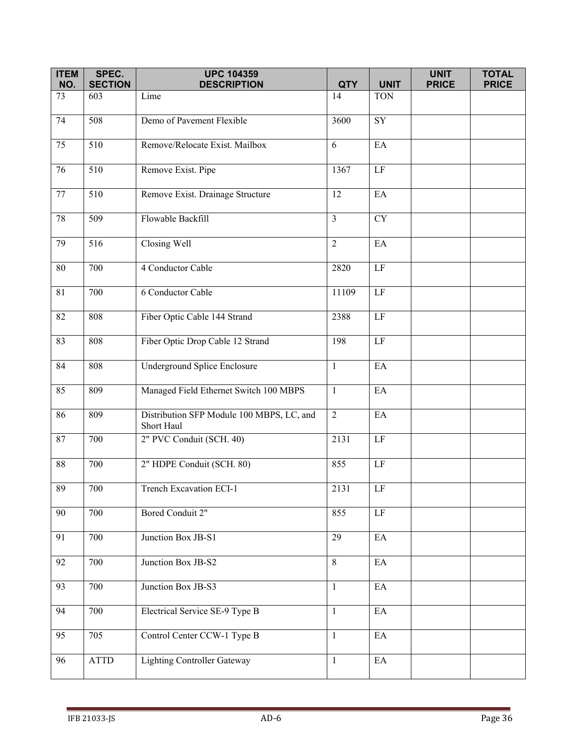| <b>ITEM</b>     | SPEC.                 | <b>UPC 104359</b>                                       |                  | <b>UNIT</b>                | <b>UNIT</b>  | <b>TOTAL</b><br><b>PRICE</b> |
|-----------------|-----------------------|---------------------------------------------------------|------------------|----------------------------|--------------|------------------------------|
| NO.<br>73       | <b>SECTION</b><br>603 | <b>DESCRIPTION</b><br>Lime                              | <b>QTY</b><br>14 | <b>TON</b>                 | <b>PRICE</b> |                              |
|                 |                       |                                                         |                  |                            |              |                              |
| 74              | 508                   | Demo of Pavement Flexible                               | 3600             | $\overline{\text{SY}}$     |              |                              |
| 75              | 510                   | Remove/Relocate Exist. Mailbox                          | 6                | EA                         |              |                              |
| 76              | 510                   | Remove Exist. Pipe                                      | 1367             | $\rm LF$                   |              |                              |
| 77              | 510                   | Remove Exist. Drainage Structure                        | 12               | EA                         |              |                              |
| 78              | 509                   | Flowable Backfill                                       | $\overline{3}$   | <b>CY</b>                  |              |                              |
| 79              | 516                   | Closing Well                                            | $\overline{2}$   | EA                         |              |                              |
| $\overline{80}$ | 700                   | 4 Conductor Cable                                       | 2820             | $\rm LF$                   |              |                              |
| 81              | 700                   | 6 Conductor Cable                                       | 11109            | $\rm LF$                   |              |                              |
| 82              | 808                   | Fiber Optic Cable 144 Strand                            | 2388             | $\rm LF$                   |              |                              |
| 83              | 808                   | Fiber Optic Drop Cable 12 Strand                        | 198              | $\rm LF$                   |              |                              |
| 84              | 808                   | Underground Splice Enclosure                            | $\mathbf{1}$     | EA                         |              |                              |
| 85              | 809                   | Managed Field Ethernet Switch 100 MBPS                  | $\mathbf{1}$     | EA                         |              |                              |
| 86              | 809                   | Distribution SFP Module 100 MBPS, LC, and<br>Short Haul | $\overline{2}$   | EA                         |              |                              |
| 87              | 700                   | 2" PVC Conduit (SCH. 40)                                | 2131             | $\rm LF$                   |              |                              |
| $88\,$          | 700                   | 2" HDPE Conduit (SCH. 80)                               | 855              | $\rm LF$                   |              |                              |
| 89              | 700                   | Trench Excavation ECI-1                                 | 2131             | LF                         |              |                              |
| 90              | 700                   | Bored Conduit 2"                                        | 855              | $\rm LF$                   |              |                              |
| 91              | 700                   | Junction Box JB-S1                                      | 29               | EA                         |              |                              |
| 92              | 700                   | Junction Box JB-S2                                      | 8                | EA                         |              |                              |
| 93              | 700                   | Junction Box JB-S3                                      | $\mathbf{1}$     | $\mathop{\rm EA}\nolimits$ |              |                              |
| 94              | 700                   | Electrical Service SE-9 Type B                          | $\mathbf{1}$     | EA                         |              |                              |
| $\overline{95}$ | 705                   | Control Center CCW-1 Type B                             | $\mathbf{1}$     | $\mathop{\rm EA}\nolimits$ |              |                              |
| 96              | $\operatorname{ATTD}$ | <b>Lighting Controller Gateway</b>                      | $\mathbf{1}$     | $\mathop{\rm EA}\nolimits$ |              |                              |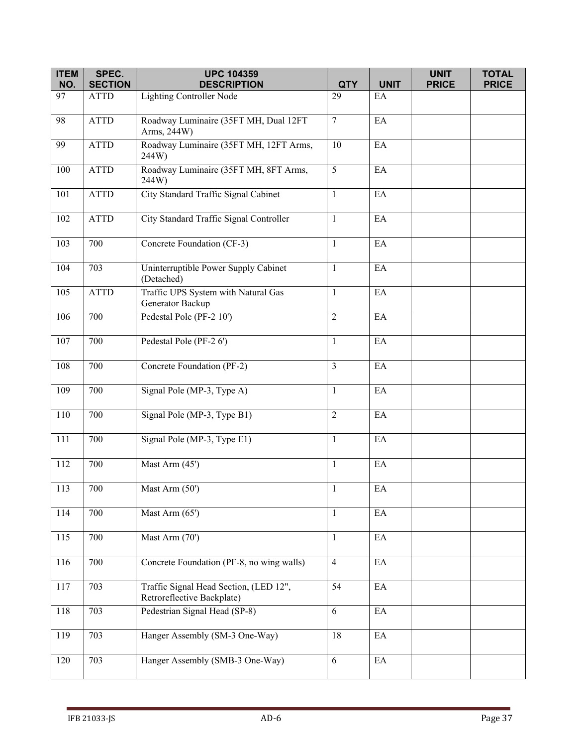| <b>ITEM</b> | SPEC.          | <b>UPC 104359</b>                                                    |                |                            | <b>UNIT</b>  | <b>TOTAL</b> |
|-------------|----------------|----------------------------------------------------------------------|----------------|----------------------------|--------------|--------------|
| NO.         | <b>SECTION</b> | <b>DESCRIPTION</b>                                                   | <b>QTY</b>     | <b>UNIT</b>                | <b>PRICE</b> | <b>PRICE</b> |
| 97          | <b>ATTD</b>    | <b>Lighting Controller Node</b>                                      | 29             | EA                         |              |              |
| 98          | <b>ATTD</b>    | Roadway Luminaire (35FT MH, Dual 12FT<br>Arms, 244W)                 | $\overline{7}$ | $\mathop{\rm EA}\nolimits$ |              |              |
| 99          | <b>ATTD</b>    | Roadway Luminaire (35FT MH, 12FT Arms,<br>244W)                      | 10             | EA                         |              |              |
| 100         | <b>ATTD</b>    | Roadway Luminaire (35FT MH, 8FT Arms,<br>244W)                       | 5              | EA                         |              |              |
| 101         | <b>ATTD</b>    | City Standard Traffic Signal Cabinet                                 | $\mathbf{1}$   | $\mathbf{E}\mathbf{A}$     |              |              |
| 102         | <b>ATTD</b>    | City Standard Traffic Signal Controller                              | $\mathbf{1}$   | $\mathbf{E}\mathbf{A}$     |              |              |
| 103         | 700            | Concrete Foundation (CF-3)                                           | $\mathbf{1}$   | EA                         |              |              |
| 104         | 703            | Uninterruptible Power Supply Cabinet<br>(Detached)                   | $\mathbf{1}$   | $\mathop{\rm EA}\nolimits$ |              |              |
| 105         | <b>ATTD</b>    | Traffic UPS System with Natural Gas<br>Generator Backup              | $\mathbf{1}$   | EA                         |              |              |
| 106         | 700            | Pedestal Pole (PF-2 10')                                             | $\overline{2}$ | $\mathop{\rm EA}\nolimits$ |              |              |
| 107         | 700            | Pedestal Pole (PF-2 6')                                              | $\mathbf{1}$   | $\mathop{\rm EA}\nolimits$ |              |              |
| 108         | 700            | Concrete Foundation (PF-2)                                           | $\overline{3}$ | EA                         |              |              |
| 109         | 700            | Signal Pole (MP-3, Type A)                                           | $\mathbf{1}$   | EA                         |              |              |
| 110         | 700            | Signal Pole (MP-3, Type B1)                                          | 2              | $\mathop{\rm EA}\nolimits$ |              |              |
| 111         | 700            | Signal Pole (MP-3, Type E1)                                          | $\mathbf{1}$   | $\mathop{\rm EA}\nolimits$ |              |              |
| 112         | 700            | Mast Arm (45')                                                       | $\mathbf{1}$   | EA                         |              |              |
| 113         | 700            | Mast Arm (50')                                                       | $\mathbf{1}$   | EA                         |              |              |
| 114         | 700            | Mast Arm (65')                                                       | $\mathbf{1}$   | $\rm EA$                   |              |              |
| 115         | 700            | Mast Arm (70')                                                       | $\mathbf{1}$   | EA                         |              |              |
| 116         | 700            | Concrete Foundation (PF-8, no wing walls)                            | $\overline{4}$ | EA                         |              |              |
| 117         | 703            | Traffic Signal Head Section, (LED 12",<br>Retroreflective Backplate) | 54             | $\rm EA$                   |              |              |
| 118         | 703            | Pedestrian Signal Head (SP-8)                                        | 6              | $\mathop{\rm EA}\nolimits$ |              |              |
| 119         | 703            | Hanger Assembly (SM-3 One-Way)                                       | 18             | EA                         |              |              |
| 120         | 703            | Hanger Assembly (SMB-3 One-Way)                                      | 6              | EA                         |              |              |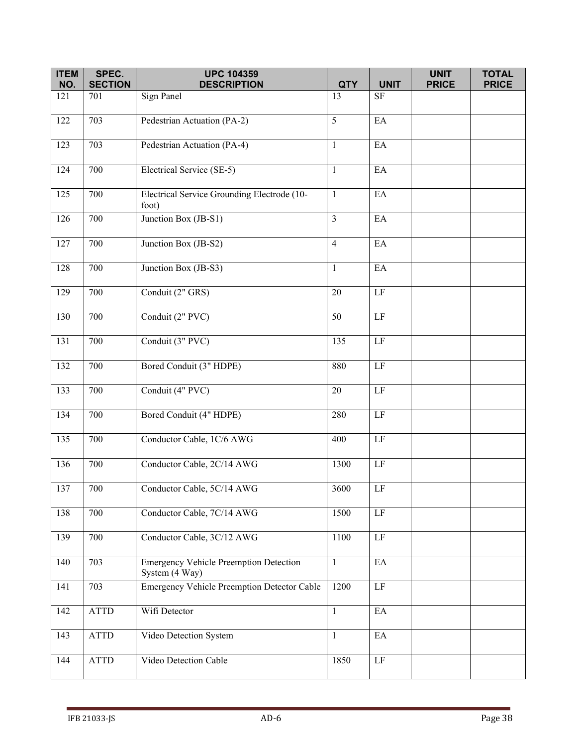| <b>ITEM</b> | SPEC.          | <b>UPC 104359</b>                                               |                         |                            | <b>UNIT</b>  | <b>TOTAL</b> |
|-------------|----------------|-----------------------------------------------------------------|-------------------------|----------------------------|--------------|--------------|
| NO.         | <b>SECTION</b> | <b>DESCRIPTION</b>                                              | <b>QTY</b>              | <b>UNIT</b>                | <b>PRICE</b> | <b>PRICE</b> |
| 121         | 701            | Sign Panel                                                      | 13                      | $\rm SF$                   |              |              |
| 122         | 703            | Pedestrian Actuation (PA-2)                                     | 5                       | $E$ A                      |              |              |
| 123         | 703            | Pedestrian Actuation (PA-4)                                     | $\mathbf{1}$            | $\mathop{\rm EA}\nolimits$ |              |              |
| 124         | 700            | Electrical Service (SE-5)                                       | $\mathbf{1}$            | EA                         |              |              |
| 125         | 700            | Electrical Service Grounding Electrode (10-<br>foot)            | $\mathbf{1}$            | EA                         |              |              |
| 126         | 700            | Junction Box (JB-S1)                                            | $\overline{\mathbf{3}}$ | $\mathop{\rm EA}\nolimits$ |              |              |
| 127         | 700            | Junction Box (JB-S2)                                            | $\overline{4}$          | EA                         |              |              |
| 128         | 700            | Junction Box (JB-S3)                                            | $\mathbf{1}$            | EA                         |              |              |
| 129         | 700            | Conduit (2" GRS)                                                | $20\,$                  | $\rm LF$                   |              |              |
| 130         | 700            | Conduit (2" PVC)                                                | 50                      | $\rm LF$                   |              |              |
| 131         | 700            | Conduit (3" PVC)                                                | 135                     | $\rm LF$                   |              |              |
| 132         | 700            | Bored Conduit (3" HDPE)                                         | 880                     | $\rm LF$                   |              |              |
| 133         | 700            | Conduit (4" PVC)                                                | 20                      | $\rm LF$                   |              |              |
| 134         | 700            | Bored Conduit (4" HDPE)                                         | 280                     | LF                         |              |              |
| 135         | 700            | Conductor Cable, 1C/6 AWG                                       | 400                     | $\operatorname{LF}$        |              |              |
| 136         | 700            | Conductor Cable, 2C/14 AWG                                      | 1300                    | $\rm LF$                   |              |              |
| 137         | 700            | Conductor Cable, 5C/14 AWG                                      | 3600                    | LF                         |              |              |
| 138         | 700            | Conductor Cable, 7C/14 AWG                                      | 1500                    | $\rm LF$                   |              |              |
| 139         | 700            | Conductor Cable, 3C/12 AWG                                      | 1100                    | $\rm LF$                   |              |              |
| 140         | 703            | <b>Emergency Vehicle Preemption Detection</b><br>System (4 Way) | $\mathbf{1}$            | EA                         |              |              |
| 141         | 703            | <b>Emergency Vehicle Preemption Detector Cable</b>              | 1200                    | $\rm LF$                   |              |              |
| 142         | <b>ATTD</b>    | Wifi Detector                                                   | $\mathbf{1}$            | $\rm EA$                   |              |              |
| 143         | ATTD           | Video Detection System                                          | $\mathbf{1}$            | EA                         |              |              |
| 144         | <b>ATTD</b>    | Video Detection Cable                                           | 1850                    | $\rm LF$                   |              |              |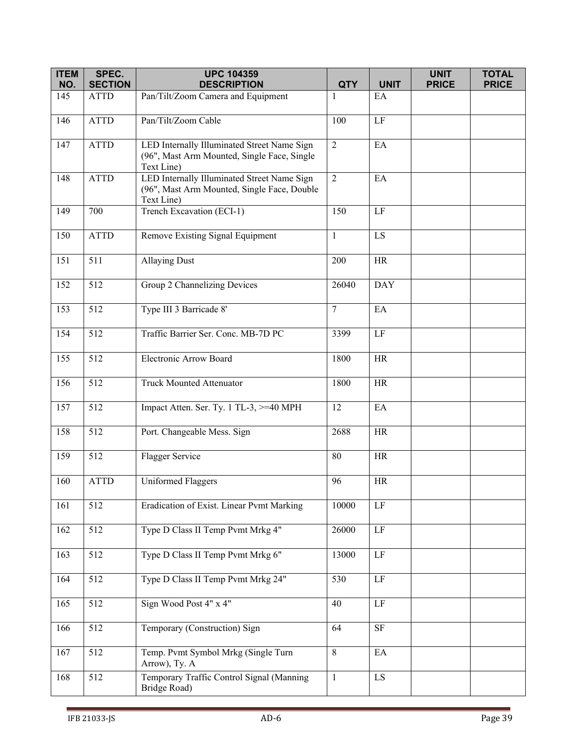| <b>ITEM</b> | SPEC.          | <b>UPC 104359</b>                                                                                        |                |                 | <b>UNIT</b>  | <b>TOTAL</b> |
|-------------|----------------|----------------------------------------------------------------------------------------------------------|----------------|-----------------|--------------|--------------|
| NO.         | <b>SECTION</b> | <b>DESCRIPTION</b>                                                                                       | <b>QTY</b>     | <b>UNIT</b>     | <b>PRICE</b> | <b>PRICE</b> |
| 145         | <b>ATTD</b>    | Pan/Tilt/Zoom Camera and Equipment                                                                       | 1              | EA              |              |              |
| 146         | <b>ATTD</b>    | Pan/Tilt/Zoom Cable                                                                                      | 100            | LF              |              |              |
| 147         | <b>ATTD</b>    | LED Internally Illuminated Street Name Sign<br>(96", Mast Arm Mounted, Single Face, Single<br>Text Line) | $\overline{2}$ | EA              |              |              |
| 148         | <b>ATTD</b>    | LED Internally Illuminated Street Name Sign<br>(96", Mast Arm Mounted, Single Face, Double<br>Text Line) | $\overline{2}$ | EA              |              |              |
| 149         | 700            | Trench Excavation (ECI-1)                                                                                | 150            | $\rm LF$        |              |              |
| 150         | <b>ATTD</b>    | Remove Existing Signal Equipment                                                                         | $\mathbf{1}$   | LS              |              |              |
| 151         | 511            | <b>Allaying Dust</b>                                                                                     | 200            | <b>HR</b>       |              |              |
| 152         | 512            | Group 2 Channelizing Devices                                                                             | 26040          | <b>DAY</b>      |              |              |
| 153         | 512            | Type III 3 Barricade 8'                                                                                  | $\overline{7}$ | EA              |              |              |
| 154         | 512            | Traffic Barrier Ser. Conc. MB-7D PC                                                                      | 3399           | $\rm LF$        |              |              |
| 155         | 512            | Electronic Arrow Board                                                                                   | 1800           | HR              |              |              |
| 156         | 512            | Truck Mounted Attenuator                                                                                 | 1800           | <b>HR</b>       |              |              |
| 157         | 512            | Impact Atten. Ser. Ty. 1 TL-3, >=40 MPH                                                                  | 12             | EA              |              |              |
| 158         | 512            | Port. Changeable Mess. Sign                                                                              | 2688           | <b>HR</b>       |              |              |
| 159         | 512            | Flagger Service                                                                                          | 80             | <b>HR</b>       |              |              |
| 160         | <b>ATTD</b>    | <b>Uniformed Flaggers</b>                                                                                | 96             | $\rm{HR}$       |              |              |
| 161         | 512            | Eradication of Exist. Linear Pvmt Marking                                                                | 10000          | $\rm LF$        |              |              |
| 162         | 512            | Type D Class II Temp Pvmt Mrkg 4"                                                                        | 26000          | $\rm LF$        |              |              |
| 163         | 512            | Type D Class II Temp Pvmt Mrkg 6"                                                                        | 13000          | $\rm LF$        |              |              |
| 164         | 512            | Type D Class II Temp Pvmt Mrkg 24"                                                                       | 530            | $\rm LF$        |              |              |
| 165         | 512            | Sign Wood Post 4" x 4"                                                                                   | 40             | $\overline{LF}$ |              |              |
| 166         | 512            | Temporary (Construction) Sign                                                                            | 64             | $\rm{SF}$       |              |              |
| 167         | 512            | Temp. Pvmt Symbol Mrkg (Single Turn<br>Arrow), Ty. A                                                     | $\,8\,$        | EA              |              |              |
| 168         | 512            | Temporary Traffic Control Signal (Manning<br>Bridge Road)                                                | $\mathbf{1}$   | LS              |              |              |